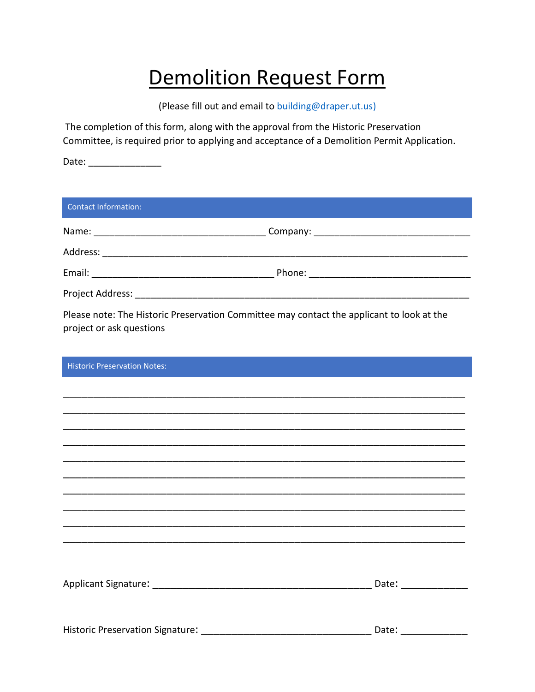## Demolition Request Form

(Please fill out and email to [building@draper.ut.us\)](mailto:building@draper.ut.us)

The completion of this form, along with the approval from the Historic Preservation Committee, is required prior to applying and acceptance of a Demolition Permit Application.

Date: \_\_\_\_\_\_\_\_\_\_\_\_\_\_

| Contact Information:                                                                                                  |       |
|-----------------------------------------------------------------------------------------------------------------------|-------|
|                                                                                                                       |       |
|                                                                                                                       |       |
|                                                                                                                       |       |
|                                                                                                                       |       |
| Please note: The Historic Preservation Committee may contact the applicant to look at the<br>project or ask questions |       |
| <b>Historic Preservation Notes:</b>                                                                                   |       |
|                                                                                                                       |       |
|                                                                                                                       |       |
|                                                                                                                       |       |
|                                                                                                                       |       |
|                                                                                                                       |       |
|                                                                                                                       |       |
|                                                                                                                       |       |
|                                                                                                                       |       |
|                                                                                                                       |       |
|                                                                                                                       |       |
|                                                                                                                       |       |
| Historic Preservation Signature:                                                                                      | Date: |